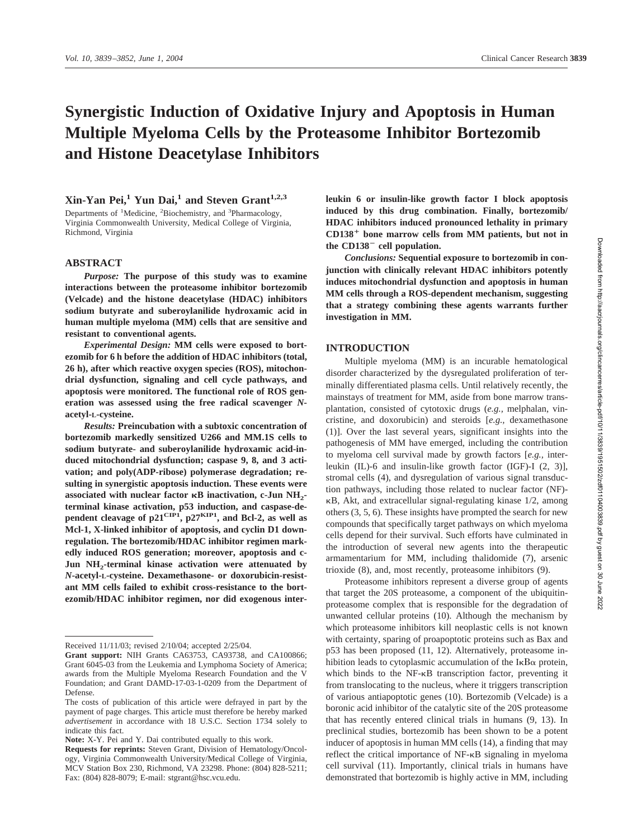# **Synergistic Induction of Oxidative Injury and Apoptosis in Human Multiple Myeloma Cells by the Proteasome Inhibitor Bortezomib and Histone Deacetylase Inhibitors**

## $X$ in-Yan Pei,<sup>1</sup> Yun Dai,<sup>1</sup> and Steven Grant<sup>1,2,3</sup>

Departments of <sup>1</sup>Medicine, <sup>2</sup>Biochemistry, and <sup>3</sup>Pharmacology, Virginia Commonwealth University, Medical College of Virginia, Richmond, Virginia

#### **ABSTRACT**

*Purpose:* **The purpose of this study was to examine interactions between the proteasome inhibitor bortezomib (Velcade) and the histone deacetylase (HDAC) inhibitors sodium butyrate and suberoylanilide hydroxamic acid in human multiple myeloma (MM) cells that are sensitive and resistant to conventional agents.**

*Experimental Design:* **MM cells were exposed to bortezomib for 6 h before the addition of HDAC inhibitors (total, 26 h), after which reactive oxygen species (ROS), mitochondrial dysfunction, signaling and cell cycle pathways, and apoptosis were monitored. The functional role of ROS generation was assessed using the free radical scavenger** *N***acetyl-L-cysteine.**

*Results:* **Preincubation with a subtoxic concentration of bortezomib markedly sensitized U266 and MM.1S cells to sodium butyrate- and suberoylanilide hydroxamic acid-induced mitochondrial dysfunction; caspase 9, 8, and 3 activation; and poly(ADP-ribose) polymerase degradation; resulting in synergistic apoptosis induction. These events were associated with nuclear factor <b>R**B inactivation, c-Jun NH<sub>2</sub>**terminal kinase activation, p53 induction, and caspase-dependent cleavage of p21CIP1, p27KIP1, and Bcl-2, as well as Mcl-1, X-linked inhibitor of apoptosis, and cyclin D1 downregulation. The bortezomib/HDAC inhibitor regimen markedly induced ROS generation; moreover, apoptosis and c-**Jun NH<sub>2</sub>-terminal kinase activation were attenuated by *N***-acetyl-L-cysteine. Dexamethasone- or doxorubicin-resistant MM cells failed to exhibit cross-resistance to the bortezomib/HDAC inhibitor regimen, nor did exogenous inter-**

**Note:** X-Y. Pei and Y. Dai contributed equally to this work.

**leukin 6 or insulin-like growth factor I block apoptosis induced by this drug combination. Finally, bortezomib/ HDAC inhibitors induced pronounced lethality in primary CD138**- **bone marrow cells from MM patients, but not in the CD138 cell population.**

*Conclusions:* **Sequential exposure to bortezomib in conjunction with clinically relevant HDAC inhibitors potently induces mitochondrial dysfunction and apoptosis in human MM cells through a ROS-dependent mechanism, suggesting that a strategy combining these agents warrants further investigation in MM.**

#### **INTRODUCTION**

Multiple myeloma (MM) is an incurable hematological disorder characterized by the dysregulated proliferation of terminally differentiated plasma cells. Until relatively recently, the mainstays of treatment for MM, aside from bone marrow transplantation, consisted of cytotoxic drugs (*e.g.,* melphalan, vincristine, and doxorubicin) and steroids [*e.g.,* dexamethasone (1)]. Over the last several years, significant insights into the pathogenesis of MM have emerged, including the contribution to myeloma cell survival made by growth factors [*e.g.,* interleukin (IL)-6 and insulin-like growth factor (IGF)-I (2, 3)], stromal cells (4), and dysregulation of various signal transduction pathways, including those related to nuclear factor (NF)-  $\kappa$ B, Akt, and extracellular signal-regulating kinase 1/2, among others (3, 5, 6). These insights have prompted the search for new compounds that specifically target pathways on which myeloma cells depend for their survival. Such efforts have culminated in the introduction of several new agents into the therapeutic armamentarium for MM, including thalidomide (7), arsenic trioxide (8), and, most recently, proteasome inhibitors (9).

Proteasome inhibitors represent a diverse group of agents that target the 20S proteasome, a component of the ubiquitinproteasome complex that is responsible for the degradation of unwanted cellular proteins (10). Although the mechanism by which proteasome inhibitors kill neoplastic cells is not known with certainty, sparing of proapoptotic proteins such as Bax and p53 has been proposed (11, 12). Alternatively, proteasome inhibition leads to cytoplasmic accumulation of the  $I \kappa B\alpha$  protein, which binds to the  $NF-\kappa B$  transcription factor, preventing it from translocating to the nucleus, where it triggers transcription of various antiapoptotic genes (10). Bortezomib (Velcade) is a boronic acid inhibitor of the catalytic site of the 20S proteasome that has recently entered clinical trials in humans (9, 13). In preclinical studies, bortezomib has been shown to be a potent inducer of apoptosis in human MM cells (14), a finding that may reflect the critical importance of NF-KB signaling in myeloma cell survival (11). Importantly, clinical trials in humans have demonstrated that bortezomib is highly active in MM, including

Received 11/11/03; revised 2/10/04; accepted 2/25/04.

**Grant support:** NIH Grants CA63753, CA93738, and CA100866; Grant 6045-03 from the Leukemia and Lymphoma Society of America; awards from the Multiple Myeloma Research Foundation and the V Foundation; and Grant DAMD-17-03-1-0209 from the Department of Defense.

The costs of publication of this article were defrayed in part by the payment of page charges. This article must therefore be hereby marked *advertisement* in accordance with 18 U.S.C. Section 1734 solely to indicate this fact.

**Requests for reprints:** Steven Grant, Division of Hematology/Oncology, Virginia Commonwealth University/Medical College of Virginia, MCV Station Box 230, Richmond, VA 23298. Phone: (804) 828-5211; Fax: (804) 828-8079; E-mail: stgrant@hsc.vcu.edu.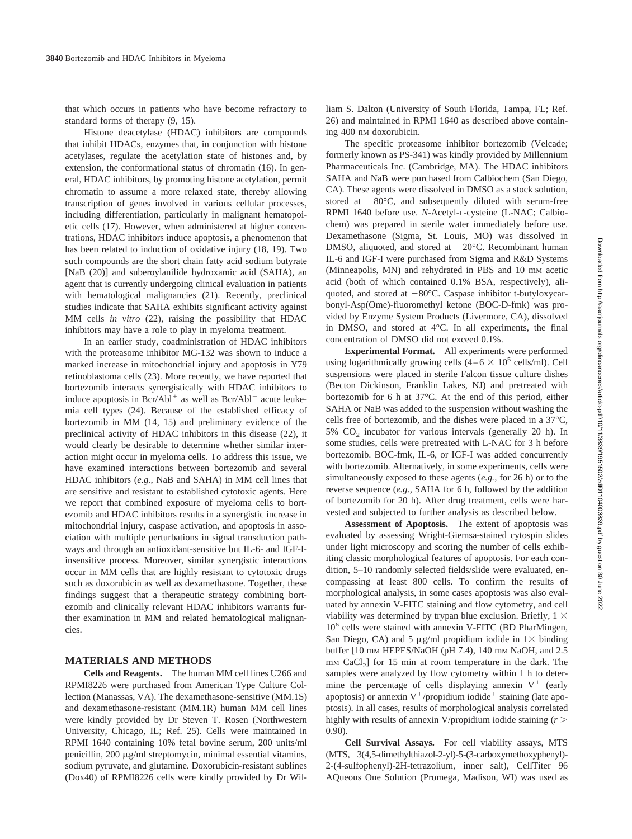that which occurs in patients who have become refractory to standard forms of therapy (9, 15).

Histone deacetylase (HDAC) inhibitors are compounds that inhibit HDACs, enzymes that, in conjunction with histone acetylases, regulate the acetylation state of histones and, by extension, the conformational status of chromatin (16). In general, HDAC inhibitors, by promoting histone acetylation, permit chromatin to assume a more relaxed state, thereby allowing transcription of genes involved in various cellular processes, including differentiation, particularly in malignant hematopoietic cells (17). However, when administered at higher concentrations, HDAC inhibitors induce apoptosis, a phenomenon that has been related to induction of oxidative injury (18, 19). Two such compounds are the short chain fatty acid sodium butyrate [NaB (20)] and suberoylanilide hydroxamic acid (SAHA), an agent that is currently undergoing clinical evaluation in patients with hematological malignancies (21). Recently, preclinical studies indicate that SAHA exhibits significant activity against MM cells *in vitro* (22), raising the possibility that HDAC inhibitors may have a role to play in myeloma treatment.

In an earlier study, coadministration of HDAC inhibitors with the proteasome inhibitor MG-132 was shown to induce a marked increase in mitochondrial injury and apoptosis in Y79 retinoblastoma cells (23). More recently, we have reported that bortezomib interacts synergistically with HDAC inhibitors to induce apoptosis in  $Bcr/Abl^+$  as well as  $Bcr/Abl^-$  acute leukemia cell types (24). Because of the established efficacy of bortezomib in MM (14, 15) and preliminary evidence of the preclinical activity of HDAC inhibitors in this disease (22), it would clearly be desirable to determine whether similar interaction might occur in myeloma cells. To address this issue, we have examined interactions between bortezomib and several HDAC inhibitors (*e.g.,* NaB and SAHA) in MM cell lines that are sensitive and resistant to established cytotoxic agents. Here we report that combined exposure of myeloma cells to bortezomib and HDAC inhibitors results in a synergistic increase in mitochondrial injury, caspase activation, and apoptosis in association with multiple perturbations in signal transduction pathways and through an antioxidant-sensitive but IL-6- and IGF-Iinsensitive process. Moreover, similar synergistic interactions occur in MM cells that are highly resistant to cytotoxic drugs such as doxorubicin as well as dexamethasone. Together, these findings suggest that a therapeutic strategy combining bortezomib and clinically relevant HDAC inhibitors warrants further examination in MM and related hematological malignancies.

#### **MATERIALS AND METHODS**

**Cells and Reagents.** The human MM cell lines U266 and RPMI8226 were purchased from American Type Culture Collection (Manassas, VA). The dexamethasone-sensitive (MM.1S) and dexamethasone-resistant (MM.1R) human MM cell lines were kindly provided by Dr Steven T. Rosen (Northwestern University, Chicago, IL; Ref. 25). Cells were maintained in RPMI 1640 containing 10% fetal bovine serum, 200 units/ml penicillin, 200  $\mu$ g/ml streptomycin, minimal essential vitamins, sodium pyruvate, and glutamine. Doxorubicin-resistant sublines (Dox40) of RPMI8226 cells were kindly provided by Dr William S. Dalton (University of South Florida, Tampa, FL; Ref. 26) and maintained in RPMI 1640 as described above containing 400 nM doxorubicin.

The specific proteasome inhibitor bortezomib (Velcade; formerly known as PS-341) was kindly provided by Millennium Pharmaceuticals Inc. (Cambridge, MA). The HDAC inhibitors SAHA and NaB were purchased from Calbiochem (San Diego, CA). These agents were dissolved in DMSO as a stock solution, stored at  $-80^{\circ}$ C, and subsequently diluted with serum-free RPMI 1640 before use. *N*-Acetyl-L-cysteine (L-NAC; Calbiochem) was prepared in sterile water immediately before use. Dexamethasone (Sigma, St. Louis, MO) was dissolved in DMSO, aliquoted, and stored at  $-20^{\circ}$ C. Recombinant human IL-6 and IGF-I were purchased from Sigma and R&D Systems (Minneapolis, MN) and rehydrated in PBS and 10 mM acetic acid (both of which contained 0.1% BSA, respectively), aliquoted, and stored at  $-80^{\circ}$ C. Caspase inhibitor t-butyloxycarbonyl-Asp(Ome)-fluoromethyl ketone (BOC-D-fmk) was provided by Enzyme System Products (Livermore, CA), dissolved in DMSO, and stored at 4°C. In all experiments, the final concentration of DMSO did not exceed 0.1%.

**Experimental Format.** All experiments were performed using logarithmically growing cells  $(4-6 \times 10^5 \text{ cells/ml})$ . Cell suspensions were placed in sterile Falcon tissue culture dishes (Becton Dickinson, Franklin Lakes, NJ) and pretreated with bortezomib for 6 h at 37°C. At the end of this period, either SAHA or NaB was added to the suspension without washing the cells free of bortezomib, and the dishes were placed in a 37°C,  $5\%$  CO<sub>2</sub> incubator for various intervals (generally 20 h). In some studies, cells were pretreated with L-NAC for 3 h before bortezomib. BOC-fmk, IL-6, or IGF-I was added concurrently with bortezomib. Alternatively, in some experiments, cells were simultaneously exposed to these agents (*e.g.,* for 26 h) or to the reverse sequence (*e.g.,* SAHA for 6 h, followed by the addition of bortezomib for 20 h). After drug treatment, cells were harvested and subjected to further analysis as described below.

**Assessment of Apoptosis.** The extent of apoptosis was evaluated by assessing Wright-Giemsa-stained cytospin slides under light microscopy and scoring the number of cells exhibiting classic morphological features of apoptosis. For each condition, 5–10 randomly selected fields/slide were evaluated, encompassing at least 800 cells. To confirm the results of morphological analysis, in some cases apoptosis was also evaluated by annexin V-FITC staining and flow cytometry, and cell viability was determined by trypan blue exclusion. Briefly,  $1 \times$ 106 cells were stained with annexin V-FITC (BD PharMingen, San Diego, CA) and 5  $\mu$ g/ml propidium iodide in 1 $\times$  binding buffer [10 mm HEPES/NaOH (pH 7.4), 140 mm NaOH, and 2.5  $mm$  CaCl<sub>2</sub>] for 15 min at room temperature in the dark. The samples were analyzed by flow cytometry within 1 h to determine the percentage of cells displaying annexin  $V^+$  (early apoptosis) or annexin  $V^+$ /propidium iodide<sup>+</sup> staining (late apoptosis). In all cases, results of morphological analysis correlated highly with results of annexin V/propidium iodide staining (*r* 0.90).

**Cell Survival Assays.** For cell viability assays, MTS (MTS, 3(4,5-dimethylthiazol-2-yl)-5-(3-carboxymethoxyphenyl)- 2-(4-sulfophenyl)-2H-tetrazolium, inner salt), CellTiter 96 AQueous One Solution (Promega, Madison, WI) was used as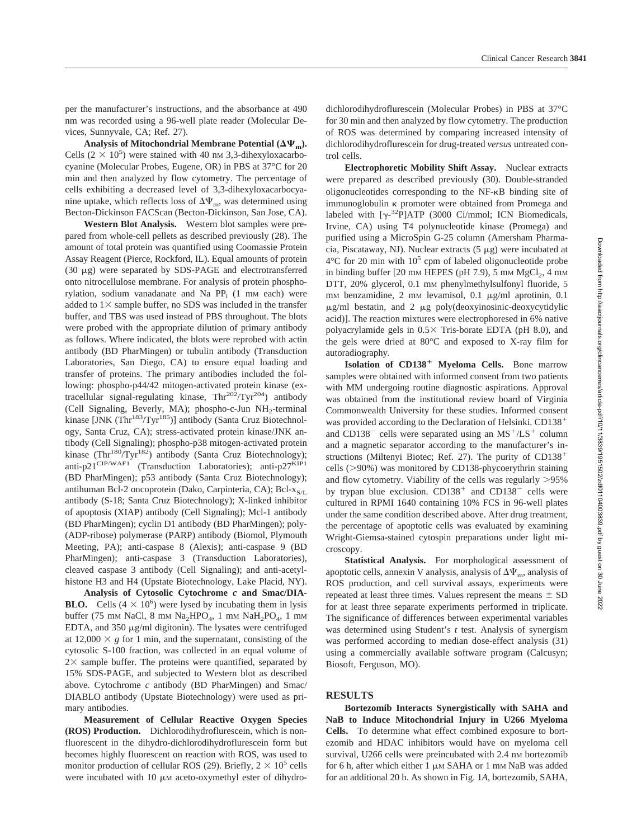per the manufacturer's instructions, and the absorbance at 490 nm was recorded using a 96-well plate reader (Molecular Devices, Sunnyvale, CA; Ref. 27).

Analysis of Mitochondrial Membrane Potential  $(\Delta \Psi_m)$ . Cells  $(2 \times 10^5)$  were stained with 40 nm 3,3-dihexyloxacarbocyanine (Molecular Probes, Eugene, OR) in PBS at 37°C for 20 min and then analyzed by flow cytometry. The percentage of cells exhibiting a decreased level of 3,3-dihexyloxacarbocyanine uptake, which reflects loss of  $\Delta \Psi_{\rm m}$ , was determined using Becton-Dickinson FACScan (Becton-Dickinson, San Jose, CA).

**Western Blot Analysis.** Western blot samples were prepared from whole-cell pellets as described previously (28). The amount of total protein was quantified using Coomassie Protein Assay Reagent (Pierce, Rockford, IL). Equal amounts of protein (30  $\mu$ g) were separated by SDS-PAGE and electrotransferred onto nitrocellulose membrane. For analysis of protein phosphorylation, sodium vanadanate and Na  $PP_i$  (1 mm each) were added to  $1\times$  sample buffer, no SDS was included in the transfer buffer, and TBS was used instead of PBS throughout. The blots were probed with the appropriate dilution of primary antibody as follows. Where indicated, the blots were reprobed with actin antibody (BD PharMingen) or tubulin antibody (Transduction Laboratories, San Diego, CA) to ensure equal loading and transfer of proteins. The primary antibodies included the following: phospho-p44/42 mitogen-activated protein kinase (extracellular signal-regulating kinase,  $Thr^{202}/Tyr^{204}$ ) antibody (Cell Signaling, Beverly, MA); phospho-c-Jun NH<sub>2</sub>-terminal kinase [JNK (Thr<sup>183</sup>/Tyr<sup>185</sup>)] antibody (Santa Cruz Biotechnology, Santa Cruz, CA); stress-activated protein kinase/JNK antibody (Cell Signaling); phospho-p38 mitogen-activated protein kinase (Thr<sup>180</sup>/Tyr<sup>182</sup>) antibody (Santa Cruz Biotechnology); anti-p21<sup>CIP/WAF1</sup> (Transduction Laboratories); anti-p27<sup>KIP1</sup> (BD PharMingen); p53 antibody (Santa Cruz Biotechnology); antihuman Bcl-2 oncoprotein (Dako, Carpinteria, CA); Bcl- $x_{S/I}$ antibody (S-18; Santa Cruz Biotechnology); X-linked inhibitor of apoptosis (XIAP) antibody (Cell Signaling); Mcl-1 antibody (BD PharMingen); cyclin D1 antibody (BD PharMingen); poly- (ADP-ribose) polymerase (PARP) antibody (Biomol, Plymouth Meeting, PA); anti-caspase 8 (Alexis); anti-caspase 9 (BD PharMingen); anti-caspase 3 (Transduction Laboratories), cleaved caspase 3 antibody (Cell Signaling); and anti-acetylhistone H3 and H4 (Upstate Biotechnology, Lake Placid, NY).

**Analysis of Cytosolic Cytochrome** *c* **and Smac/DIA-BLO.** Cells  $(4 \times 10^6)$  were lysed by incubating them in lysis buffer (75 mm NaCl, 8 mm Na<sub>2</sub>HPO<sub>4</sub>, 1 mm NaH<sub>2</sub>PO<sub>4</sub>, 1 mm EDTA, and  $350 \mu g/ml$  digitonin). The lysates were centrifuged at  $12,000 \times g$  for 1 min, and the supernatant, consisting of the cytosolic S-100 fraction, was collected in an equal volume of  $2 \times$  sample buffer. The proteins were quantified, separated by 15% SDS-PAGE, and subjected to Western blot as described above. Cytochrome *c* antibody (BD PharMingen) and Smac/ DIABLO antibody (Upstate Biotechnology) were used as primary antibodies.

**Measurement of Cellular Reactive Oxygen Species (ROS) Production.** Dichlorodihydroflurescein, which is nonfluorescent in the dihydro-dichlorodihydroflurescein form but becomes highly fluorescent on reaction with ROS, was used to monitor production of cellular ROS (29). Briefly,  $2 \times 10^5$  cells were incubated with 10  $\mu$ M aceto-oxymethyl ester of dihydro-

dichlorodihydroflurescein (Molecular Probes) in PBS at 37°C for 30 min and then analyzed by flow cytometry. The production of ROS was determined by comparing increased intensity of dichlorodihydroflurescein for drug-treated *versus* untreated control cells.

**Electrophoretic Mobility Shift Assay.** Nuclear extracts were prepared as described previously (30). Double-stranded oligonucleotides corresponding to the NF-KB binding site of immunoglobulin  $\kappa$  promoter were obtained from Promega and labeled with  $[\gamma^{-32}P]$ ATP (3000 Ci/mmol; ICN Biomedicals, Irvine, CA) using T4 polynucleotide kinase (Promega) and purified using a MicroSpin G-25 column (Amersham Pharmacia, Piscataway, NJ). Nuclear extracts  $(5 \mu g)$  were incubated at  $4^{\circ}$ C for 20 min with  $10^5$  cpm of labeled oligonucleotide probe in binding buffer  $[20 \text{ mm}$  HEPES (pH 7.9), 5 mm  $MgCl<sub>2</sub>$ , 4 mm DTT, 20% glycerol, 0.1 mm phenylmethylsulfonyl fluoride, 5 mm benzamidine, 2 mm levamisol, 0.1  $\mu$ g/ml aprotinin, 0.1  $\mu$ g/ml bestatin, and 2  $\mu$ g poly(deoxyinosinic-deoxycytidylic acid)]. The reaction mixtures were electrophoresed in 6% native polyacrylamide gels in  $0.5 \times$  Tris-borate EDTA (pH 8.0), and the gels were dried at 80°C and exposed to X-ray film for autoradiography.

**Isolation of CD138**- **Myeloma Cells.** Bone marrow samples were obtained with informed consent from two patients with MM undergoing routine diagnostic aspirations. Approval was obtained from the institutional review board of Virginia Commonwealth University for these studies. Informed consent was provided according to the Declaration of Helsinki. CD138<sup>+</sup> and CD138<sup>-</sup> cells were separated using an  $MS<sup>+</sup>/LS<sup>+</sup>$  column and a magnetic separator according to the manufacturer's instructions (Miltenyi Biotec; Ref. 27). The purity of CD138 cells  $(>90\%)$  was monitored by CD138-phycoerythrin staining and flow cytometry. Viability of the cells was regularly  $>95\%$ by trypan blue exclusion.  $CD138<sup>+</sup>$  and  $CD138<sup>-</sup>$  cells were cultured in RPMI 1640 containing 10% FCS in 96-well plates under the same condition described above. After drug treatment, the percentage of apoptotic cells was evaluated by examining Wright-Giemsa-stained cytospin preparations under light microscopy.

**Statistical Analysis.** For morphological assessment of apoptotic cells, annexin V analysis, analysis of  $\Delta\Psi_{\rm m}$ , analysis of ROS production, and cell survival assays, experiments were repeated at least three times. Values represent the means  $\pm$  SD for at least three separate experiments performed in triplicate. The significance of differences between experimental variables was determined using Student's *t* test. Analysis of synergism was performed according to median dose-effect analysis (31) using a commercially available software program (Calcusyn; Biosoft, Ferguson, MO).

### **RESULTS**

**Bortezomib Interacts Synergistically with SAHA and NaB to Induce Mitochondrial Injury in U266 Myeloma Cells.** To determine what effect combined exposure to bortezomib and HDAC inhibitors would have on myeloma cell survival, U266 cells were preincubated with 2.4 nm bortezomib for 6 h, after which either  $1 \mu M$  SAHA or 1 mM NaB was added for an additional 20 h. As shown in Fig. 1*A*, bortezomib, SAHA,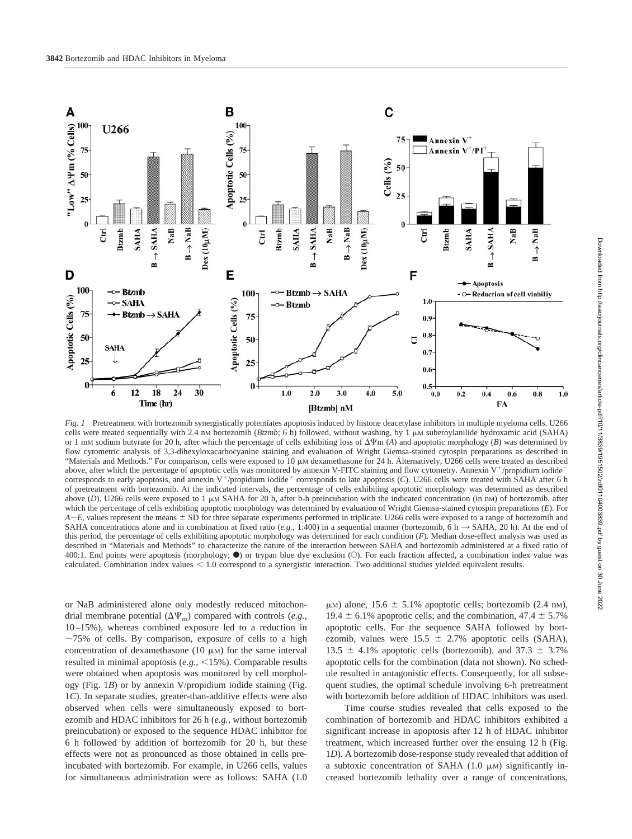

*Fig. 1* Pretreatment with bortezomib synergistically potentiates apoptosis induced by histone deacetylase inhibitors in multiple myeloma cells. U266 cells were treated sequentially with 2.4 nM bortezomib (*Btzmb*; 6 h) followed, without washing, by 1  $\mu$ M suberoylanilide hydroxamic acid (SAHA) or 1 mM sodium butyrate for 20 h, after which the percentage of cells exhibiting loss of  $\Delta \Psi$ m (*A*) and apoptotic morphology (*B*) was determined by flow cytometric analysis of 3,3-dihexyloxacarbocyanine staining and evaluation of Wright Giemsa-stained cytospin preparations as described in "Materials and Methods." For comparison, cells were exposed to  $10 \mu$ M dexamethasone for 24 h. Alternatively, U266 cells were treated as described above, after which the percentage of apoptotic cells was monitored by annexin V-FITC staining and flow cytometry. Annexin  $V^{\dagger}$ /propidium iodide<sup>-</sup> corresponds to early apoptosis, and annexin  $V^+$ /propidium iodide<sup>+</sup> corresponds to late apoptosis (*C*). U266 cells were treated with SAHA after 6 h of pretreatment with bortezomib. At the indicated intervals, the percentage of cells exhibiting apoptotic morphology was determined as described above (*D*). U266 cells were exposed to 1  $\mu$ M SAHA for 20 h, after b-h preincubation with the indicated concentration (in nM) of bortezomib, after which the percentage of cells exhibiting apoptotic morphology was determined by evaluation of Wright Giemsa-stained cytospin preparations (*E*). For  $A$ – $E$ , values represent the means  $\pm$  SD for three separate experiments performed in triplicate. U266 cells were exposed to a range of bortezomib and SAHA concentrations alone and in combination at fixed ratio (*e.g.*, 1:400) in a sequential manner (bortezomib,  $\vec{6}$  h  $\rightarrow$  SAHA, 20 h). At the end of this period, the percentage of cells exhibiting apoptotic morphology was determined for each condition (*F*). Median dose-effect analysis was used as described in "Materials and Methods" to characterize the nature of the interaction between SAHA and bortezomib administered at a fixed ratio of 400:1. End points were apoptosis (morphology;  $\bullet$ ) or trypan blue dye exclusion (O). For each fraction affected, a combination index value was calculated. Combination index values  $\leq 1.0$  correspond to a synergistic interaction. Two additional studies yielded equivalent results.

or NaB administered alone only modestly reduced mitochondrial membrane potential  $(\Delta \Psi_{\rm m})$  compared with controls (*e.g.*, 10–15%), whereas combined exposure led to a reduction in  $\sim$ 75% of cells. By comparison, exposure of cells to a high concentration of dexamethasone (10  $\mu$ M) for the same interval resulted in minimal apoptosis (*e.g.*, <15%). Comparable results were obtained when apoptosis was monitored by cell morphology (Fig. 1*B*) or by annexin V/propidium iodide staining (Fig. 1*C*). In separate studies, greater-than-additive effects were also observed when cells were simultaneously exposed to bortezomib and HDAC inhibitors for 26 h (*e.g.,* without bortezomib preincubation) or exposed to the sequence HDAC inhibitor for 6 h followed by addition of bortezomib for 20 h, but these effects were not as pronounced as those obtained in cells preincubated with bortezomib. For example, in U266 cells, values for simultaneous administration were as follows: SAHA (1.0  $\mu$ M) alone, 15.6  $\pm$  5.1% apoptotic cells; bortezomib (2.4 nM), 19.4  $\pm$  6.1% apoptotic cells; and the combination, 47.4  $\pm$  5.7% apoptotic cells. For the sequence SAHA followed by bortezomib, values were  $15.5 \pm 2.7\%$  apoptotic cells (SAHA), 13.5  $\pm$  4.1% apoptotic cells (bortezomib), and 37.3  $\pm$  3.7% apoptotic cells for the combination (data not shown). No schedule resulted in antagonistic effects. Consequently, for all subsequent studies, the optimal schedule involving 6-h pretreatment with bortezomib before addition of HDAC inhibitors was used.

Time course studies revealed that cells exposed to the combination of bortezomib and HDAC inhibitors exhibited a significant increase in apoptosis after 12 h of HDAC inhibitor treatment, which increased further over the ensuing 12 h (Fig. 1*D*). A bortezomib dose-response study revealed that addition of a subtoxic concentration of SAHA  $(1.0 \mu)$  significantly increased bortezomib lethality over a range of concentrations,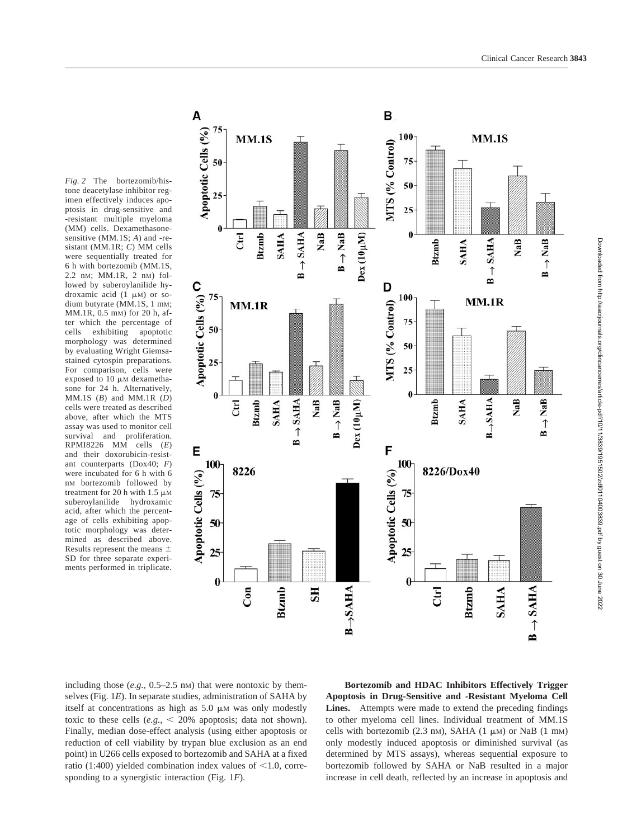

*Fig. 2* The bortezomib/histone deacetylase inhibitor regimen effectively induces apoptosis in drug-sensitive and -resistant multiple myeloma (MM) cells. Dexamethasonesensitive (MM.1S; *A*) and -resistant (MM.1R; *C*) MM cells were sequentially treated for 6 h with bortezomib (MM.1S, 2.2 nM; MM.1R, 2 nM) followed by suberoylanilide hydroxamic acid  $(1 \mu M)$  or sodium butyrate (MM.1S, 1 mM; MM.1R, 0.5 mM) for 20 h, after which the percentage of cells exhibiting apoptotic morphology was determined by evaluating Wright Giemsastained cytospin preparations. For comparison, cells were exposed to  $10 \mu$ M dexamethasone for 24 h. Alternatively, MM.1S (*B*) and MM.1R (*D*) cells were treated as described above, after which the MTS assay was used to monitor cell survival and proliferation. RPMI8226 MM cells (*E*) and their doxorubicin-resistant counterparts (Dox40; *F*) were incubated for 6 h with 6 nM bortezomib followed by treatment for 20 h with 1.5  $\mu$ M suberoylanilide hydroxamic acid, after which the percentage of cells exhibiting apoptotic morphology was determined as described above. Results represent the means  $\pm$ SD for three separate experiments performed in triplicate.

including those  $(e.g., 0.5-2.5 \text{ nm})$  that were nontoxic by themselves (Fig. 1*E*). In separate studies, administration of SAHA by itself at concentrations as high as  $5.0 \mu$ M was only modestly toxic to these cells  $(e.g., < 20\%$  apoptosis; data not shown). Finally, median dose-effect analysis (using either apoptosis or reduction of cell viability by trypan blue exclusion as an end point) in U266 cells exposed to bortezomib and SAHA at a fixed ratio (1:400) yielded combination index values of  $\leq$ 1.0, corresponding to a synergistic interaction (Fig. 1*F*).

**Bortezomib and HDAC Inhibitors Effectively Trigger Apoptosis in Drug-Sensitive and -Resistant Myeloma Cell Lines.** Attempts were made to extend the preceding findings to other myeloma cell lines. Individual treatment of MM.1S cells with bortezomib  $(2.3 \text{ nm})$ , SAHA  $(1 \mu M)$  or NaB  $(1 \text{ mm})$ only modestly induced apoptosis or diminished survival (as determined by MTS assays), whereas sequential exposure to bortezomib followed by SAHA or NaB resulted in a major increase in cell death, reflected by an increase in apoptosis and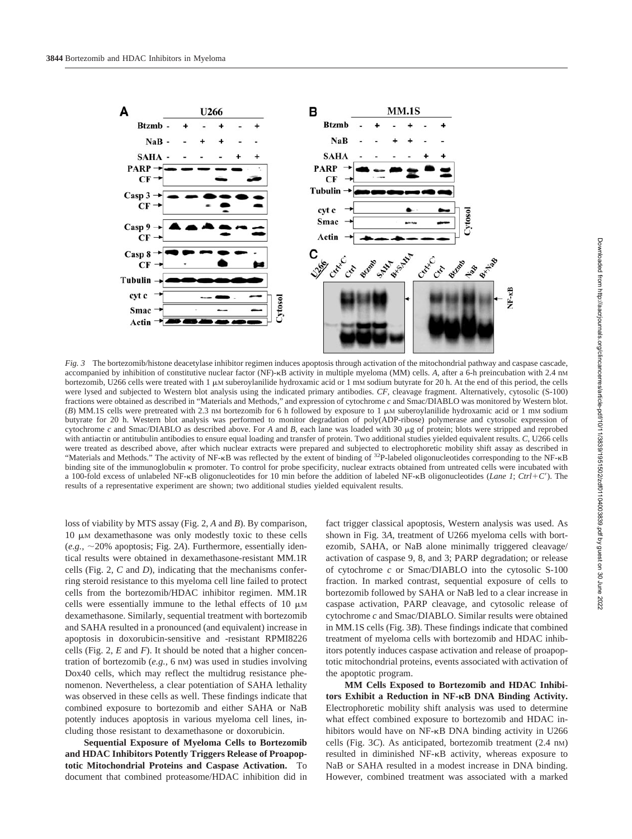

*Fig. 3* The bortezomib/histone deacetylase inhibitor regimen induces apoptosis through activation of the mitochondrial pathway and caspase cascade, accompanied by inhibition of constitutive nuclear factor (NF)- $\kappa$ B activity in multiple myeloma (MM) cells. *A*, after a 6-h preincubation with 2.4 nM bortezomib, U266 cells were treated with 1  $\mu$ M suberoylanilide hydroxamic acid or 1 mM sodium butyrate for 20 h. At the end of this period, the cells were lysed and subjected to Western blot analysis using the indicated primary antibodies. *CF,* cleavage fragment. Alternatively, cytosolic (S-100) fractions were obtained as described in "Materials and Methods," and expression of cytochrome *c* and Smac/DIABLO was monitored by Western blot.  $(B)$  MM.1S cells were pretreated with 2.3 nm bortezomib for 6 h followed by exposure to 1  $\mu$ M suberoylanilide hydroxamic acid or 1 mm sodium butyrate for 20 h. Western blot analysis was performed to monitor degradation of poly(ADP-ribose) polymerase and cytosolic expression of cytochrome *c* and Smac/DIABLO as described above. For *A* and *B,* each lane was loaded with 30 g of protein; blots were stripped and reprobed with antiactin or antitubulin antibodies to ensure equal loading and transfer of protein. Two additional studies yielded equivalent results. *C,* U266 cells were treated as described above, after which nuclear extracts were prepared and subjected to electrophoretic mobility shift assay as described in "Materials and Methods." The activity of NF- $\kappa$ B was reflected by the extent of binding of <sup>32</sup>P-labeled oligonucleotides corresponding to the NF- $\kappa$ B binding site of the immunoglobulin  $\kappa$  promoter. To control for probe specificity, nuclear extracts obtained from untreated cells were incubated with a 100-fold excess of unlabeled NF- $\kappa$ B oligonucleotides for 10 min before the addition of labeled NF- $\kappa$ B oligonucleotides (*Lane 1*; *Ctrl*+*C'*). The results of a representative experiment are shown; two additional studies yielded equivalent results.

loss of viability by MTS assay (Fig. 2, *A* and *B*). By comparison,  $10 \mu$ M dexamethasone was only modestly toxic to these cells  $(e.g., ~20\%$  apoptosis; Fig. 2A). Furthermore, essentially identical results were obtained in dexamethasone-resistant MM.1R cells (Fig. 2, *C* and *D*), indicating that the mechanisms conferring steroid resistance to this myeloma cell line failed to protect cells from the bortezomib/HDAC inhibitor regimen. MM.1R cells were essentially immune to the lethal effects of 10  $\mu$ M dexamethasone. Similarly, sequential treatment with bortezomib and SAHA resulted in a pronounced (and equivalent) increase in apoptosis in doxorubicin-sensitive and -resistant RPMI8226 cells (Fig. 2, *E* and *F*). It should be noted that a higher concentration of bortezomib (*e.g.,* 6 nM) was used in studies involving Dox40 cells, which may reflect the multidrug resistance phenomenon. Nevertheless, a clear potentiation of SAHA lethality was observed in these cells as well. These findings indicate that combined exposure to bortezomib and either SAHA or NaB potently induces apoptosis in various myeloma cell lines, including those resistant to dexamethasone or doxorubicin.

**Sequential Exposure of Myeloma Cells to Bortezomib and HDAC Inhibitors Potently Triggers Release of Proapoptotic Mitochondrial Proteins and Caspase Activation.** To document that combined proteasome/HDAC inhibition did in

fact trigger classical apoptosis, Western analysis was used. As shown in Fig. 3*A*, treatment of U266 myeloma cells with bortezomib, SAHA, or NaB alone minimally triggered cleavage/ activation of caspase 9, 8, and 3; PARP degradation; or release of cytochrome *c* or Smac/DIABLO into the cytosolic S-100 fraction. In marked contrast, sequential exposure of cells to bortezomib followed by SAHA or NaB led to a clear increase in caspase activation, PARP cleavage, and cytosolic release of cytochrome *c* and Smac/DIABLO. Similar results were obtained in MM.1S cells (Fig. 3*B*). These findings indicate that combined treatment of myeloma cells with bortezomib and HDAC inhibitors potently induces caspase activation and release of proapoptotic mitochondrial proteins, events associated with activation of the apoptotic program.

**MM Cells Exposed to Bortezomib and HDAC Inhibi**tors Exhibit a Reduction in NF-**<b>BDNA Binding Activity**. Electrophoretic mobility shift analysis was used to determine what effect combined exposure to bortezomib and HDAC inhibitors would have on  $NF-\kappa B$  DNA binding activity in U266 cells (Fig. 3*C*). As anticipated, bortezomib treatment (2.4 nM) resulted in diminished NF-KB activity, whereas exposure to NaB or SAHA resulted in a modest increase in DNA binding. However, combined treatment was associated with a marked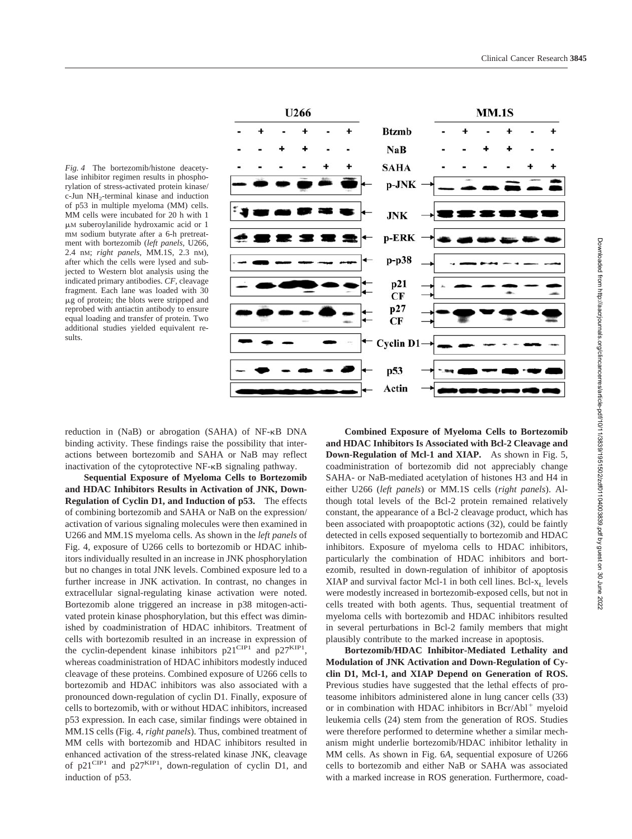*Fig. 4* The bortezomib/histone deacetylase inhibitor regimen results in phosphorylation of stress-activated protein kinase/ c-Jun NH<sub>2</sub>-terminal kinase and induction of p53 in multiple myeloma (MM) cells. MM cells were incubated for 20 h with 1 M suberoylanilide hydroxamic acid or 1 mM sodium butyrate after a 6-h pretreatment with bortezomib (*left panels,* U266, 2.4 nM; *right panels,* MM.1S, 2.3 nM), after which the cells were lysed and subjected to Western blot analysis using the indicated primary antibodies. *CF,* cleavage fragment. Each lane was loaded with 30 g of protein; the blots were stripped and reprobed with antiactin antibody to ensure equal loading and transfer of protein. Two additional studies yielded equivalent results.



reduction in (NaB) or abrogation (SAHA) of NF- $\kappa$ B DNA binding activity. These findings raise the possibility that interactions between bortezomib and SAHA or NaB may reflect inactivation of the cytoprotective NF-KB signaling pathway.

**Sequential Exposure of Myeloma Cells to Bortezomib and HDAC Inhibitors Results in Activation of JNK, Down-Regulation of Cyclin D1, and Induction of p53.** The effects of combining bortezomib and SAHA or NaB on the expression/ activation of various signaling molecules were then examined in U266 and MM.1S myeloma cells. As shown in the *left panels* of Fig. 4, exposure of U266 cells to bortezomib or HDAC inhibitors individually resulted in an increase in JNK phosphorylation but no changes in total JNK levels. Combined exposure led to a further increase in JNK activation. In contrast, no changes in extracellular signal-regulating kinase activation were noted. Bortezomib alone triggered an increase in p38 mitogen-activated protein kinase phosphorylation, but this effect was diminished by coadministration of HDAC inhibitors. Treatment of cells with bortezomib resulted in an increase in expression of the cyclin-dependent kinase inhibitors  $p21^{\text{CIP1}}$  and  $p27^{\text{KIP1}}$ , whereas coadministration of HDAC inhibitors modestly induced cleavage of these proteins. Combined exposure of U266 cells to bortezomib and HDAC inhibitors was also associated with a pronounced down-regulation of cyclin D1. Finally, exposure of cells to bortezomib, with or without HDAC inhibitors, increased p53 expression. In each case, similar findings were obtained in MM.1S cells (Fig. 4, *right panels*). Thus, combined treatment of MM cells with bortezomib and HDAC inhibitors resulted in enhanced activation of the stress-related kinase JNK, cleavage of p21<sup>CIP1</sup> and p27<sup>KIP1</sup>, down-regulation of cyclin D1, and induction of p53.

**Combined Exposure of Myeloma Cells to Bortezomib and HDAC Inhibitors Is Associated with Bcl-2 Cleavage and Down-Regulation of Mcl-1 and XIAP.** As shown in Fig. 5, coadministration of bortezomib did not appreciably change SAHA- or NaB-mediated acetylation of histones H3 and H4 in either U266 (*left panels*) or MM.1S cells (*right panels*). Although total levels of the Bcl-2 protein remained relatively constant, the appearance of a Bcl-2 cleavage product, which has been associated with proapoptotic actions (32), could be faintly detected in cells exposed sequentially to bortezomib and HDAC inhibitors. Exposure of myeloma cells to HDAC inhibitors, particularly the combination of HDAC inhibitors and bortezomib, resulted in down-regulation of inhibitor of apoptosis XIAP and survival factor Mcl-1 in both cell lines. Bcl- $x_L$  levels were modestly increased in bortezomib-exposed cells, but not in cells treated with both agents. Thus, sequential treatment of myeloma cells with bortezomib and HDAC inhibitors resulted in several perturbations in Bcl-2 family members that might plausibly contribute to the marked increase in apoptosis.

**Bortezomib/HDAC Inhibitor-Mediated Lethality and Modulation of JNK Activation and Down-Regulation of Cyclin D1, Mcl-1, and XIAP Depend on Generation of ROS.** Previous studies have suggested that the lethal effects of proteasome inhibitors administered alone in lung cancer cells (33) or in combination with HDAC inhibitors in  $Bcr/Abl<sup>+</sup>$  myeloid leukemia cells (24) stem from the generation of ROS. Studies were therefore performed to determine whether a similar mechanism might underlie bortezomib/HDAC inhibitor lethality in MM cells. As shown in Fig. 6*A*, sequential exposure of U266 cells to bortezomib and either NaB or SAHA was associated with a marked increase in ROS generation. Furthermore, coad-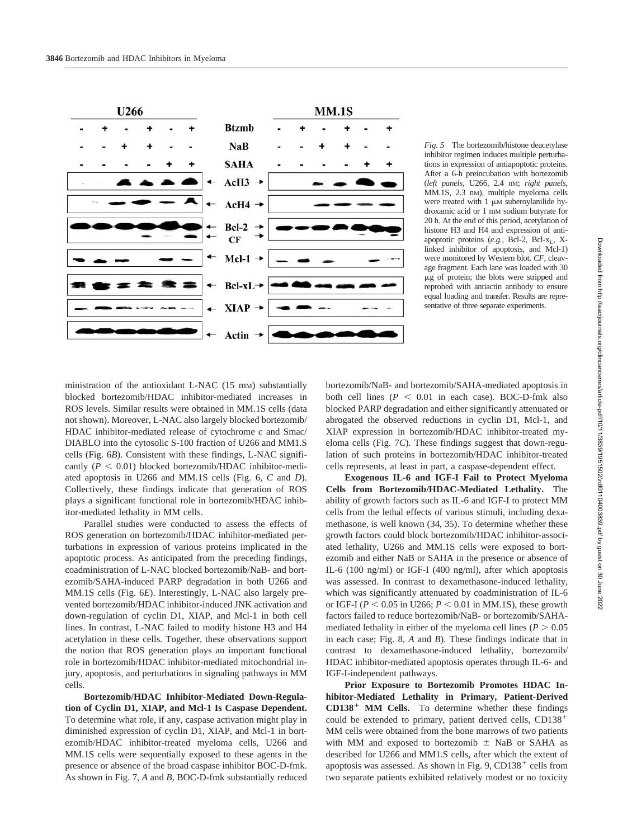

*Fig. 5* The bortezomib/histone deacetylase inhibitor regimen induces multiple perturbations in expression of antiapoptotic proteins. After a 6-h preincubation with bortezomib (*left panels,* U266, 2.4 nM; *right panels,* MM.1S, 2.3 nM), multiple myeloma cells were treated with  $1 \mu M$  suberoylanilide hydroxamic acid or 1 mM sodium butyrate for 20 h. At the end of this period, acetylation of histone H3 and H4 and expression of antiapoptotic proteins (e.g., Bcl-2, Bcl-x<sub>L</sub>, Xlinked inhibitor of apoptosis, and Mcl-1) were monitored by Western blot. *CF,* cleavage fragment. Each lane was loaded with 30  $\mu$ g of protein; the blots were stripped and reprobed with antiactin antibody to ensure equal loading and transfer. Results are representative of three separate experiments.

ministration of the antioxidant L-NAC (15 mM) substantially blocked bortezomib/HDAC inhibitor-mediated increases in ROS levels. Similar results were obtained in MM.1S cells (data not shown). Moreover, L-NAC also largely blocked bortezomib/ HDAC inhibitor-mediated release of cytochrome *c* and Smac/ DIABLO into the cytosolic S-100 fraction of U266 and MM1.S cells (Fig. 6*B*). Consistent with these findings, L-NAC significantly  $(P < 0.01)$  blocked bortezomib/HDAC inhibitor-mediated apoptosis in U266 and MM.1S cells (Fig. 6, *C* and *D*). Collectively, these findings indicate that generation of ROS plays a significant functional role in bortezomib/HDAC inhibitor-mediated lethality in MM cells.

Parallel studies were conducted to assess the effects of ROS generation on bortezomib/HDAC inhibitor-mediated perturbations in expression of various proteins implicated in the apoptotic process. As anticipated from the preceding findings, coadministration of L-NAC blocked bortezomib/NaB- and bortezomib/SAHA-induced PARP degradation in both U266 and MM.1S cells (Fig. 6*E*). Interestingly, L-NAC also largely prevented bortezomib/HDAC inhibitor-induced JNK activation and down-regulation of cyclin D1, XIAP, and Mcl-1 in both cell lines. In contrast, L-NAC failed to modify histone H3 and H4 acetylation in these cells. Together, these observations support the notion that ROS generation plays an important functional role in bortezomib/HDAC inhibitor-mediated mitochondrial injury, apoptosis, and perturbations in signaling pathways in MM cells.

**Bortezomib/HDAC Inhibitor-Mediated Down-Regulation of Cyclin D1, XIAP, and Mcl-1 Is Caspase Dependent.** To determine what role, if any, caspase activation might play in diminished expression of cyclin D1, XIAP, and Mcl-1 in bortezomib/HDAC inhibitor-treated myeloma cells, U266 and MM.1S cells were sequentially exposed to these agents in the presence or absence of the broad caspase inhibitor BOC-D-fmk. As shown in Fig. 7, *A* and *B*, BOC-D-fmk substantially reduced bortezomib/NaB- and bortezomib/SAHA-mediated apoptosis in both cell lines  $(P < 0.01$  in each case). BOC-D-fmk also blocked PARP degradation and either significantly attenuated or abrogated the observed reductions in cyclin D1, Mcl-1, and XIAP expression in bortezomib/HDAC inhibitor-treated myeloma cells (Fig. 7*C*). These findings suggest that down-regulation of such proteins in bortezomib/HDAC inhibitor-treated cells represents, at least in part, a caspase-dependent effect.

**Exogenous IL-6 and IGF-I Fail to Protect Myeloma Cells from Bortezomib/HDAC-Mediated Lethality.** The ability of growth factors such as IL-6 and IGF-I to protect MM cells from the lethal effects of various stimuli, including dexamethasone, is well known (34, 35). To determine whether these growth factors could block bortezomib/HDAC inhibitor-associated lethality, U266 and MM.1S cells were exposed to bortezomib and either NaB or SAHA in the presence or absence of IL-6 (100 ng/ml) or IGF-I (400 ng/ml), after which apoptosis was assessed. In contrast to dexamethasone-induced lethality, which was significantly attenuated by coadministration of IL-6 or IGF-I ( $P < 0.05$  in U266;  $P < 0.01$  in MM.1S), these growth factors failed to reduce bortezomib/NaB- or bortezomib/SAHAmediated lethality in either of the myeloma cell lines ( $P > 0.05$ ) in each case; Fig. 8, *A* and *B*). These findings indicate that in contrast to dexamethasone-induced lethality, bortezomib/ HDAC inhibitor-mediated apoptosis operates through IL-6- and IGF-I-independent pathways.

**Prior Exposure to Bortezomib Promotes HDAC Inhibitor-Mediated Lethality in Primary, Patient-Derived CD138**- **MM Cells.** To determine whether these findings could be extended to primary, patient derived cells, CD138 MM cells were obtained from the bone marrows of two patients with MM and exposed to bortezomib  $\pm$  NaB or SAHA as described for U266 and MM1.S cells, after which the extent of apoptosis was assessed. As shown in Fig. 9, CD138 $^+$  cells from two separate patients exhibited relatively modest or no toxicity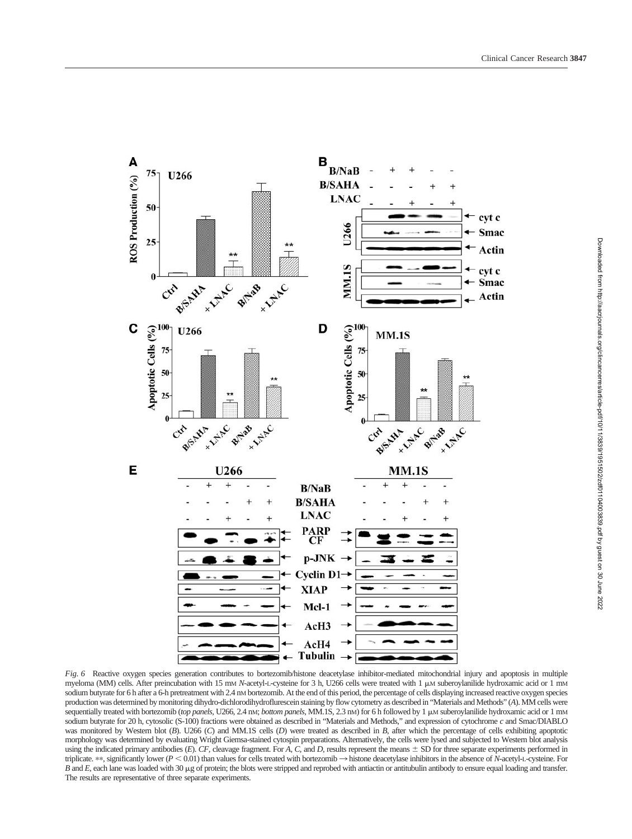

*Fig. 6* Reactive oxygen species generation contributes to bortezomib/histone deacetylase inhibitor-mediated mitochondrial injury and apoptosis in multiple myeloma (MM) cells. After preincubation with 15 mm *N*-acetyl-L-cysteine for 3 h, U266 cells were treated with 1  $\mu$ M suberoylanilide hydroxamic acid or 1 mm sodium butyrate for 6 h after a 6-h pretreatment with 2.4 nM bortezomib. At the end of this period, the percentage of cells displaying increased reactive oxygen species production was determined by monitoring dihydro-dichlorodihydroflurescein staining by flow cytometry as described in "Materials and Methods" (*A*). MM cells were sequentially treated with bortezomib (*top panels*, U266, 2.4 nM; *bottom panels*, MM.1S, 2.3 nM) for 6 h followed by 1  $\mu$ M suberoylanilide hydroxamic acid or 1 mM sodium butyrate for 20 h, cytosolic (S-100) fractions were obtained as described in "Materials and Methods," and expression of cytochrome *c* and Smac/DIABLO was monitored by Western blot (*B*). U266 (*C*) and MM.1S cells (*D*) were treated as described in *B*, after which the percentage of cells exhibiting apoptotic morphology was determined by evaluating Wright Giemsa-stained cytospin preparations. Alternatively, the cells were lysed and subjected to Western blot analysis using the indicated primary antibodies (E). CF, cleavage fragment. For *A*, *C*, and *D*, results represent the means  $\pm$  SD for three separate experiments performed in triplicate. \*\*, significantly lower  $(P < 0.01)$  than values for cells treated with bortezomib  $\rightarrow$  histone deacetylase inhibitors in the absence of *N*-acetyl-L-cysteine. For *B* and *E*, each lane was loaded with 30  $\mu$ g of protein; the blots were stripped and reprobed with antiactin or antitubulin antibody to ensure equal loading and transfer. The results are representative of three separate experiments.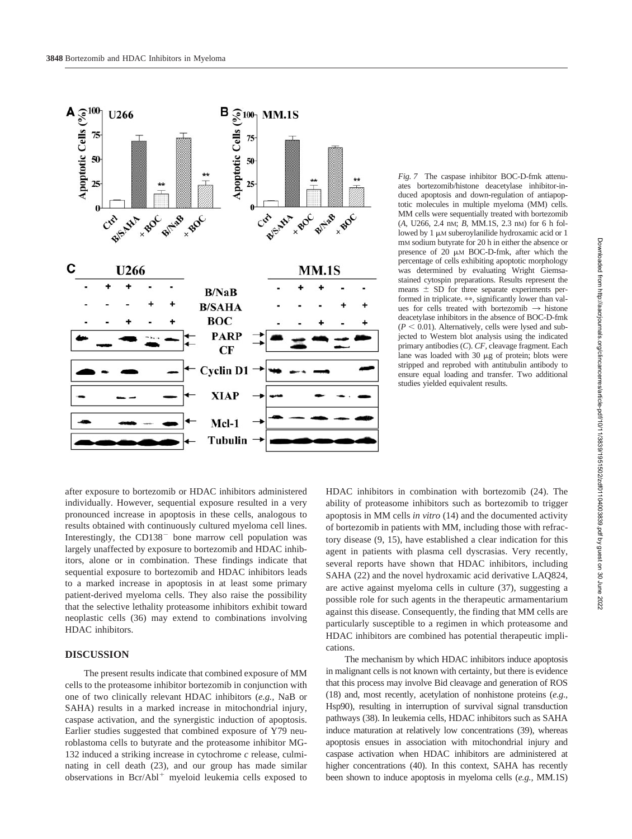

*Fig. 7* The caspase inhibitor BOC-D-fmk attenuates bortezomib/histone deacetylase inhibitor-induced apoptosis and down-regulation of antiapoptotic molecules in multiple myeloma (MM) cells. MM cells were sequentially treated with bortezomib (*A,* U266, 2.4 nM; *B,* MM.1S, 2.3 nM) for 6 h followed by  $1 \mu$ M suberoylanilide hydroxamic acid or  $1$ mM sodium butyrate for 20 h in either the absence or presence of 20  $\mu$ M BOC-D-fmk, after which the percentage of cells exhibiting apoptotic morphology was determined by evaluating Wright Giemsastained cytospin preparations. Results represent the means  $\pm$  SD for three separate experiments performed in triplicate. \*\*, significantly lower than values for cells treated with bortezomib  $\rightarrow$  histone deacetylase inhibitors in the absence of BOC-D-fmk  $(P < 0.01)$ . Alternatively, cells were lysed and subjected to Western blot analysis using the indicated primary antibodies (*C*). *CF,* cleavage fragment. Each lane was loaded with 30  $\mu$ g of protein; blots were stripped and reprobed with antitubulin antibody to ensure equal loading and transfer. Two additional studies yielded equivalent results.

after exposure to bortezomib or HDAC inhibitors administered individually. However, sequential exposure resulted in a very pronounced increase in apoptosis in these cells, analogous to results obtained with continuously cultured myeloma cell lines. Interestingly, the  $CD138$ <sup>-</sup> bone marrow cell population was largely unaffected by exposure to bortezomib and HDAC inhibitors, alone or in combination. These findings indicate that sequential exposure to bortezomib and HDAC inhibitors leads to a marked increase in apoptosis in at least some primary patient-derived myeloma cells. They also raise the possibility that the selective lethality proteasome inhibitors exhibit toward neoplastic cells (36) may extend to combinations involving HDAC inhibitors.

#### **DISCUSSION**

The present results indicate that combined exposure of MM cells to the proteasome inhibitor bortezomib in conjunction with one of two clinically relevant HDAC inhibitors (*e.g.,* NaB or SAHA) results in a marked increase in mitochondrial injury, caspase activation, and the synergistic induction of apoptosis. Earlier studies suggested that combined exposure of Y79 neuroblastoma cells to butyrate and the proteasome inhibitor MG-132 induced a striking increase in cytochrome *c* release, culminating in cell death (23), and our group has made similar observations in  $Bcr/Abl^+$  myeloid leukemia cells exposed to

HDAC inhibitors in combination with bortezomib (24). The ability of proteasome inhibitors such as bortezomib to trigger apoptosis in MM cells *in vitro* (14) and the documented activity of bortezomib in patients with MM, including those with refractory disease (9, 15), have established a clear indication for this agent in patients with plasma cell dyscrasias. Very recently, several reports have shown that HDAC inhibitors, including SAHA (22) and the novel hydroxamic acid derivative LAQ824, are active against myeloma cells in culture (37), suggesting a possible role for such agents in the therapeutic armamentarium against this disease. Consequently, the finding that MM cells are particularly susceptible to a regimen in which proteasome and HDAC inhibitors are combined has potential therapeutic implications.

The mechanism by which HDAC inhibitors induce apoptosis in malignant cells is not known with certainty, but there is evidence that this process may involve Bid cleavage and generation of ROS (18) and, most recently, acetylation of nonhistone proteins (*e.g.,* Hsp90), resulting in interruption of survival signal transduction pathways (38). In leukemia cells, HDAC inhibitors such as SAHA induce maturation at relatively low concentrations (39), whereas apoptosis ensues in association with mitochondrial injury and caspase activation when HDAC inhibitors are administered at higher concentrations (40). In this context, SAHA has recently been shown to induce apoptosis in myeloma cells (*e.g.,* MM.1S)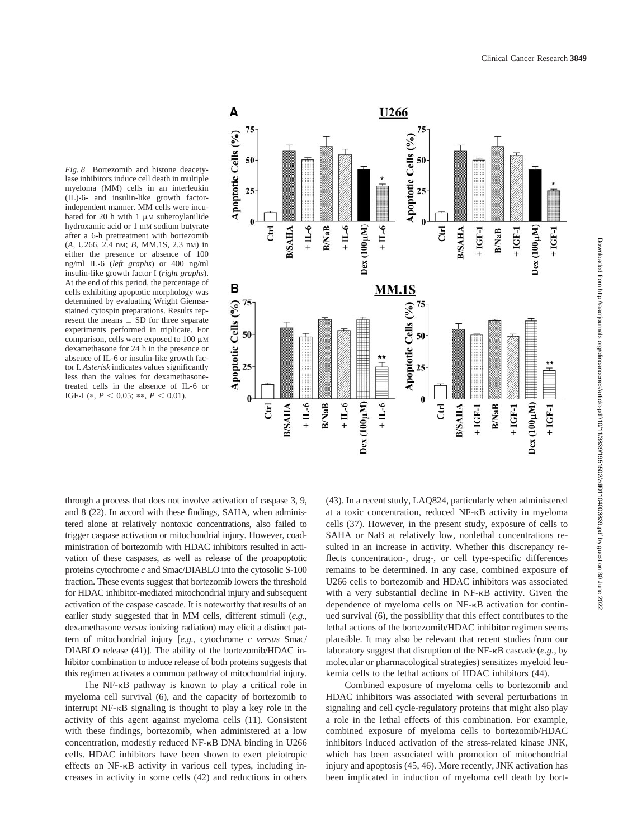



through a process that does not involve activation of caspase 3, 9, and 8 (22). In accord with these findings, SAHA, when administered alone at relatively nontoxic concentrations, also failed to trigger caspase activation or mitochondrial injury. However, coadministration of bortezomib with HDAC inhibitors resulted in activation of these caspases, as well as release of the proapoptotic proteins cytochrome *c* and Smac/DIABLO into the cytosolic S-100 fraction. These events suggest that bortezomib lowers the threshold for HDAC inhibitor-mediated mitochondrial injury and subsequent activation of the caspase cascade. It is noteworthy that results of an earlier study suggested that in MM cells, different stimuli (*e.g.,* dexamethasone *versus* ionizing radiation) may elicit a distinct pattern of mitochondrial injury [*e.g.,* cytochrome *c versus* Smac/ DIABLO release (41)]. The ability of the bortezomib/HDAC inhibitor combination to induce release of both proteins suggests that this regimen activates a common pathway of mitochondrial injury.

The  $NF-\kappa B$  pathway is known to play a critical role in myeloma cell survival (6), and the capacity of bortezomib to interrupt  $NF-\kappa B$  signaling is thought to play a key role in the activity of this agent against myeloma cells (11). Consistent with these findings, bortezomib, when administered at a low concentration, modestly reduced NF-KB DNA binding in U266 cells. HDAC inhibitors have been shown to exert pleiotropic effects on NF-KB activity in various cell types, including increases in activity in some cells (42) and reductions in others

(43). In a recent study, LAQ824, particularly when administered at a toxic concentration, reduced  $NF-\kappa B$  activity in myeloma cells (37). However, in the present study, exposure of cells to SAHA or NaB at relatively low, nonlethal concentrations resulted in an increase in activity. Whether this discrepancy reflects concentration-, drug-, or cell type-specific differences remains to be determined. In any case, combined exposure of U266 cells to bortezomib and HDAC inhibitors was associated with a very substantial decline in  $NF-\kappa B$  activity. Given the dependence of myeloma cells on NF- $\kappa$ B activation for continued survival (6), the possibility that this effect contributes to the lethal actions of the bortezomib/HDAC inhibitor regimen seems plausible. It may also be relevant that recent studies from our laboratory suggest that disruption of the NF- $\kappa$ B cascade (e.g., by molecular or pharmacological strategies) sensitizes myeloid leukemia cells to the lethal actions of HDAC inhibitors (44).

Combined exposure of myeloma cells to bortezomib and HDAC inhibitors was associated with several perturbations in signaling and cell cycle-regulatory proteins that might also play a role in the lethal effects of this combination. For example, combined exposure of myeloma cells to bortezomib/HDAC inhibitors induced activation of the stress-related kinase JNK, which has been associated with promotion of mitochondrial injury and apoptosis (45, 46). More recently, JNK activation has been implicated in induction of myeloma cell death by bort-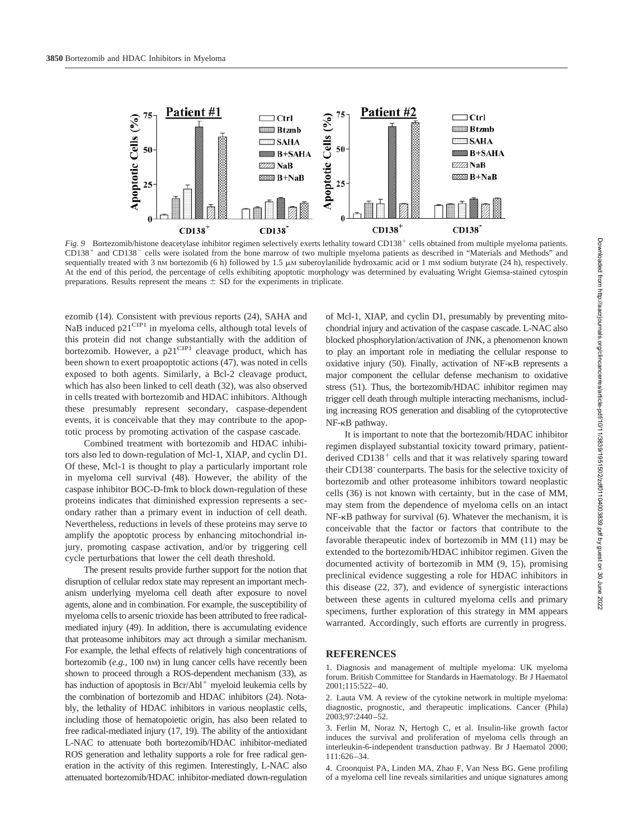

*Fig.* 9 Bortezomib/histone deacetylase inhibitor regimen selectively exerts lethality toward CD138<sup>+</sup> cells obtained from multiple myeloma patients. CD138<sup>+</sup> and CD138<sup>-</sup> cells were isolated from the bone marrow of two multiple myeloma patients as described in "Materials and Methods" and sequentially treated with 3 nM bortezomib (6 h) followed by 1.5  $\mu$ M suberoylanilide hydroxamic acid or 1 mM sodium butyrate (24 h), respectively. At the end of this period, the percentage of cells exhibiting apoptotic morphology was determined by evaluating Wright Giemsa-stained cytospin preparations. Results represent the means  $\pm$  SD for the experiments in triplicate.

ezomib (14). Consistent with previous reports (24), SAHA and NaB induced  $p21^{\text{CIP1}}$  in myeloma cells, although total levels of this protein did not change substantially with the addition of bortezomib. However, a  $p21^{\text{CIP1}}$  cleavage product, which has been shown to exert proapoptotic actions (47), was noted in cells exposed to both agents. Similarly, a Bcl-2 cleavage product, which has also been linked to cell death (32), was also observed in cells treated with bortezomib and HDAC inhibitors. Although these presumably represent secondary, caspase-dependent events, it is conceivable that they may contribute to the apoptotic process by promoting activation of the caspase cascade.

Combined treatment with bortezomib and HDAC inhibitors also led to down-regulation of Mcl-1, XIAP, and cyclin D1. Of these, Mcl-1 is thought to play a particularly important role in myeloma cell survival (48). However, the ability of the caspase inhibitor BOC-D-fmk to block down-regulation of these proteins indicates that diminished expression represents a secondary rather than a primary event in induction of cell death. Nevertheless, reductions in levels of these proteins may serve to amplify the apoptotic process by enhancing mitochondrial injury, promoting caspase activation, and/or by triggering cell cycle perturbations that lower the cell death threshold.

The present results provide further support for the notion that disruption of cellular redox state may represent an important mechanism underlying myeloma cell death after exposure to novel agents, alone and in combination. For example, the susceptibility of myeloma cells to arsenic trioxide has been attributed to free radicalmediated injury (49). In addition, there is accumulating evidence that proteasome inhibitors may act through a similar mechanism. For example, the lethal effects of relatively high concentrations of bortezomib (*e.g.,* 100 nM) in lung cancer cells have recently been shown to proceed through a ROS-dependent mechanism (33), as has induction of apoptosis in  $\text{Ber}/\text{Abl}^+$  myeloid leukemia cells by the combination of bortezomib and HDAC inhibitors (24). Notably, the lethality of HDAC inhibitors in various neoplastic cells, including those of hematopoietic origin, has also been related to free radical-mediated injury (17, 19). The ability of the antioxidant L-NAC to attenuate both bortezomib/HDAC inhibitor-mediated ROS generation and lethality supports a role for free radical generation in the activity of this regimen. Interestingly, L-NAC also attenuated bortezomib/HDAC inhibitor-mediated down-regulation of Mcl-1, XIAP, and cyclin D1, presumably by preventing mitochondrial injury and activation of the caspase cascade. L-NAC also blocked phosphorylation/activation of JNK, a phenomenon known to play an important role in mediating the cellular response to oxidative injury  $(50)$ . Finally, activation of NF- $\kappa$ B represents a major component the cellular defense mechanism to oxidative stress (51). Thus, the bortezomib/HDAC inhibitor regimen may trigger cell death through multiple interacting mechanisms, including increasing ROS generation and disabling of the cytoprotective NF-<sub>KB</sub> pathway.

It is important to note that the bortezomib/HDAC inhibitor regimen displayed substantial toxicity toward primary, patientderived  $CD138<sup>+</sup>$  cells and that it was relatively sparing toward their CD138- counterparts. The basis for the selective toxicity of bortezomib and other proteasome inhibitors toward neoplastic cells (36) is not known with certainty, but in the case of MM, may stem from the dependence of myeloma cells on an intact  $NF-\kappa B$  pathway for survival (6). Whatever the mechanism, it is conceivable that the factor or factors that contribute to the favorable therapeutic index of bortezomib in MM (11) may be extended to the bortezomib/HDAC inhibitor regimen. Given the documented activity of bortezomib in MM (9, 15), promising preclinical evidence suggesting a role for HDAC inhibitors in this disease (22, 37), and evidence of synergistic interactions between these agents in cultured myeloma cells and primary specimens, further exploration of this strategy in MM appears warranted. Accordingly, such efforts are currently in progress.

#### **REFERENCES**

1. Diagnosis and management of multiple myeloma: UK myeloma forum. British Committee for Standards in Haematology. Br J Haematol 2001;115:522–40.

2. Lauta VM. A review of the cytokine network in multiple myeloma: diagnostic, prognostic, and therapeutic implications. Cancer (Phila) 2003;97:2440–52.

3. Ferlin M, Noraz N, Hertogh C, et al. Insulin-like growth factor induces the survival and proliferation of myeloma cells through an interleukin-6-independent transduction pathway. Br J Haematol 2000; 111:626–34.

4. Croonquist PA, Linden MA, Zhao F, Van Ness BG. Gene profiling of a myeloma cell line reveals similarities and unique signatures among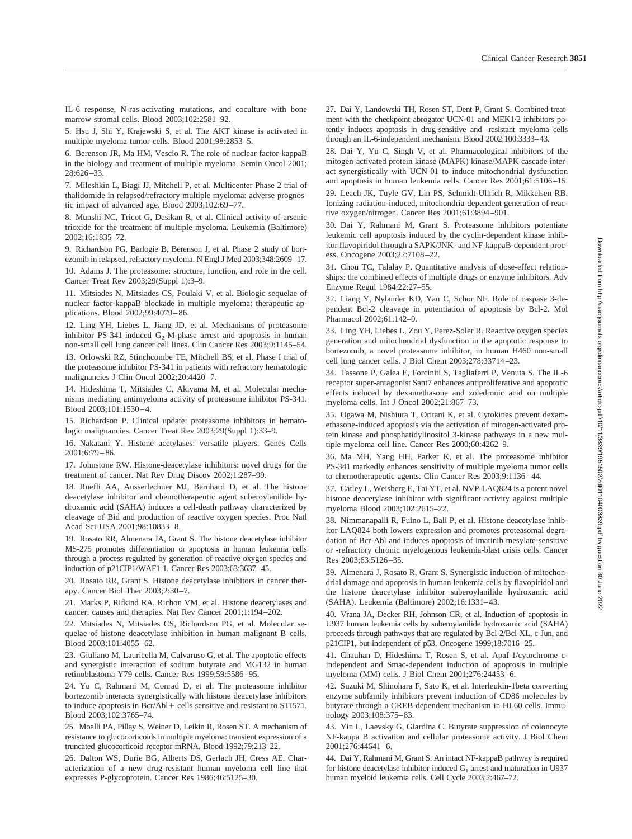IL-6 response, N-ras-activating mutations, and coculture with bone marrow stromal cells. Blood 2003;102:2581–92.

5. Hsu J, Shi Y, Krajewski S, et al. The AKT kinase is activated in multiple myeloma tumor cells. Blood 2001;98:2853–5.

6. Berenson JR, Ma HM, Vescio R. The role of nuclear factor-kappaB in the biology and treatment of multiple myeloma. Semin Oncol 2001; 28:626–33.

7. Mileshkin L, Biagi JJ, Mitchell P, et al. Multicenter Phase 2 trial of thalidomide in relapsed/refractory multiple myeloma: adverse prognostic impact of advanced age. Blood 2003;102:69–77.

8. Munshi NC, Tricot G, Desikan R, et al. Clinical activity of arsenic trioxide for the treatment of multiple myeloma. Leukemia (Baltimore) 2002;16:1835–72.

9. Richardson PG, Barlogie B, Berenson J, et al. Phase 2 study of bortezomib in relapsed, refractory myeloma. N Engl J Med 2003;348:2609–17.

10. Adams J. The proteasome: structure, function, and role in the cell. Cancer Treat Rev 2003;29(Suppl 1):3–9.

11. Mitsiades N, Mitsiades CS, Poulaki V, et al. Biologic sequelae of nuclear factor-kappaB blockade in multiple myeloma: therapeutic applications. Blood 2002;99:4079–86.

12. Ling YH, Liebes L, Jiang JD, et al. Mechanisms of proteasome inhibitor PS-341-induced  $G_2$ -M-phase arrest and apoptosis in human non-small cell lung cancer cell lines. Clin Cancer Res 2003;9:1145–54.

13. Orlowski RZ, Stinchcombe TE, Mitchell BS, et al. Phase I trial of the proteasome inhibitor PS-341 in patients with refractory hematologic malignancies J Clin Oncol 2002;20:4420–7.

14. Hideshima T, Mitsiades C, Akiyama M, et al. Molecular mechanisms mediating antimyeloma activity of proteasome inhibitor PS-341. Blood 2003;101:1530–4.

15. Richardson P. Clinical update: proteasome inhibitors in hematologic malignancies. Cancer Treat Rev 2003;29(Suppl 1):33–9.

16. Nakatani Y. Histone acetylases: versatile players. Genes Cells 2001;6:79–86.

17. Johnstone RW. Histone-deacetylase inhibitors: novel drugs for the treatment of cancer. Nat Rev Drug Discov 2002;1:287–99.

18. Ruefli AA, Ausserlechner MJ, Bernhard D, et al. The histone deacetylase inhibitor and chemotherapeutic agent suberoylanilide hydroxamic acid (SAHA) induces a cell-death pathway characterized by cleavage of Bid and production of reactive oxygen species. Proc Natl Acad Sci USA 2001;98:10833–8.

19. Rosato RR, Almenara JA, Grant S. The histone deacetylase inhibitor MS-275 promotes differentiation or apoptosis in human leukemia cells through a process regulated by generation of reactive oxygen species and induction of p21CIP1/WAF1 1. Cancer Res 2003;63:3637–45.

20. Rosato RR, Grant S. Histone deacetylase inhibitors in cancer therapy. Cancer Biol Ther 2003;2:30–7.

21. Marks P, Rifkind RA, Richon VM, et al. Histone deacetylases and cancer: causes and therapies. Nat Rev Cancer 2001;1:194–202.

22. Mitsiades N, Mitsiades CS, Richardson PG, et al. Molecular sequelae of histone deacetylase inhibition in human malignant B cells. Blood 2003;101:4055–62.

23. Giuliano M, Lauricella M, Calvaruso G, et al. The apoptotic effects and synergistic interaction of sodium butyrate and MG132 in human retinoblastoma Y79 cells. Cancer Res 1999;59:5586–95.

24. Yu C, Rahmani M, Conrad D, et al. The proteasome inhibitor bortezomib interacts synergistically with histone deacetylase inhibitors to induce apoptosis in Bcr/Abl+ cells sensitive and resistant to STI571. Blood 2003;102:3765–74.

25. Moalli PA, Pillay S, Weiner D, Leikin R, Rosen ST. A mechanism of resistance to glucocorticoids in multiple myeloma: transient expression of a truncated glucocorticoid receptor mRNA. Blood 1992;79:213–22.

26. Dalton WS, Durie BG, Alberts DS, Gerlach JH, Cress AE. Characterization of a new drug-resistant human myeloma cell line that expresses P-glycoprotein. Cancer Res 1986;46:5125–30.

27. Dai Y, Landowski TH, Rosen ST, Dent P, Grant S. Combined treatment with the checkpoint abrogator UCN-01 and MEK1/2 inhibitors potently induces apoptosis in drug-sensitive and -resistant myeloma cells through an IL-6-independent mechanism. Blood 2002;100:3333–43.

28. Dai Y, Yu C, Singh V, et al. Pharmacological inhibitors of the mitogen-activated protein kinase (MAPK) kinase/MAPK cascade interact synergistically with UCN-01 to induce mitochondrial dysfunction and apoptosis in human leukemia cells. Cancer Res 2001;61:5106–15.

29. Leach JK, Tuyle GV, Lin PS, Schmidt-Ullrich R, Mikkelsen RB. Ionizing radiation-induced, mitochondria-dependent generation of reactive oxygen/nitrogen. Cancer Res 2001;61:3894–901.

30. Dai Y, Rahmani M, Grant S. Proteasome inhibitors potentiate leukemic cell apoptosis induced by the cyclin-dependent kinase inhibitor flavopiridol through a SAPK/JNK- and NF-kappaB-dependent process. Oncogene 2003;22:7108–22.

31. Chou TC, Talalay P. Quantitative analysis of dose-effect relationships: the combined effects of multiple drugs or enzyme inhibitors. Adv Enzyme Regul 1984;22:27–55.

32. Liang Y, Nylander KD, Yan C, Schor NF. Role of caspase 3-dependent Bcl-2 cleavage in potentiation of apoptosis by Bcl-2. Mol Pharmacol 2002;61:142–9.

33. Ling YH, Liebes L, Zou Y, Perez-Soler R. Reactive oxygen species generation and mitochondrial dysfunction in the apoptotic response to bortezomib, a novel proteasome inhibitor, in human H460 non-small cell lung cancer cells. J Biol Chem 2003;278:33714–23.

34. Tassone P, Galea E, Forciniti S, Tagliaferri P, Venuta S. The IL-6 receptor super-antagonist Sant7 enhances antiproliferative and apoptotic effects induced by dexamethasone and zoledronic acid on multiple myeloma cells. Int J Oncol 2002;21:867–73.

35. Ogawa M, Nishiura T, Oritani K, et al. Cytokines prevent dexamethasone-induced apoptosis via the activation of mitogen-activated protein kinase and phosphatidylinositol 3-kinase pathways in a new multiple myeloma cell line. Cancer Res 2000;60:4262–9.

36. Ma MH, Yang HH, Parker K, et al. The proteasome inhibitor PS-341 markedly enhances sensitivity of multiple myeloma tumor cells to chemotherapeutic agents. Clin Cancer Res 2003;9:1136–44.

37. Catley L, Weisberg E, Tai YT, et al. NVP-LAQ824 is a potent novel histone deacetylase inhibitor with significant activity against multiple myeloma Blood 2003;102:2615–22.

38. Nimmanapalli R, Fuino L, Bali P, et al. Histone deacetylase inhibitor LAQ824 both lowers expression and promotes proteasomal degradation of Bcr-Abl and induces apoptosis of imatinib mesylate-sensitive or -refractory chronic myelogenous leukemia-blast crisis cells. Cancer Res 2003;63:5126–35.

39. Almenara J, Rosato R, Grant S. Synergistic induction of mitochondrial damage and apoptosis in human leukemia cells by flavopiridol and the histone deacetylase inhibitor suberoylanilide hydroxamic acid (SAHA). Leukemia (Baltimore) 2002;16:1331–43.

40. Vrana JA, Decker RH, Johnson CR, et al. Induction of apoptosis in U937 human leukemia cells by suberoylanilide hydroxamic acid (SAHA) proceeds through pathways that are regulated by Bcl-2/Bcl-XL, c-Jun, and p21CIP1, but independent of p53. Oncogene 1999;18:7016–25.

41. Chauhan D, Hideshima T, Rosen S, et al. Apaf-1/cytochrome cindependent and Smac-dependent induction of apoptosis in multiple myeloma (MM) cells. J Biol Chem 2001;276:24453–6.

42. Suzuki M, Shinohara F, Sato K, et al. Interleukin-1beta converting enzyme subfamily inhibitors prevent induction of CD86 molecules by butyrate through a CREB-dependent mechanism in HL60 cells. Immunology 2003;108:375–83.

43. Yin L, Laevsky G, Giardina C. Butyrate suppression of colonocyte NF-kappa B activation and cellular proteasome activity. J Biol Chem 2001;276:44641–6.

44. Dai Y, Rahmani M, Grant S. An intact NF-kappaB pathway is required for histone deacetylase inhibitor-induced  $G_1$  arrest and maturation in U937 human myeloid leukemia cells. Cell Cycle 2003;2:467–72.